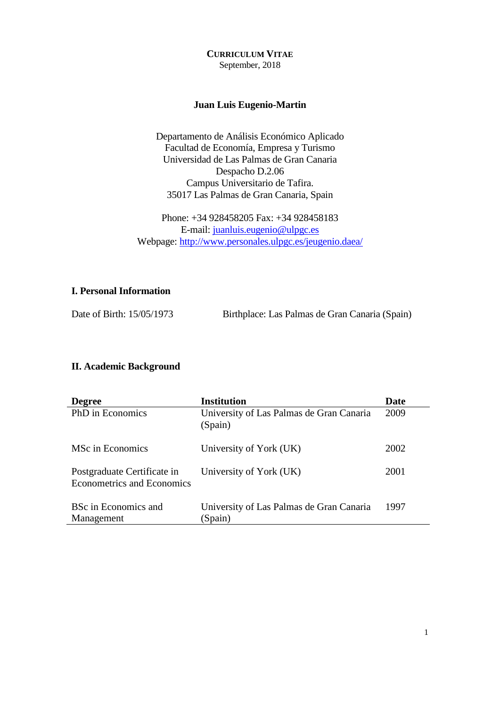**CURRICULUM VITAE** September, 2018

#### **Juan Luis Eugenio-Martin**

Departamento de Análisis Económico Aplicado Facultad de Economía, Empresa y Turismo Universidad de Las Palmas de Gran Canaria Despacho D.2.06 Campus Universitario de Tafira. 35017 Las Palmas de Gran Canaria, Spain

Phone: +34 928458205 Fax: +34 928458183 E-mail: [juanluis.eugenio@ulpgc.es](mailto:juanluis.eugenio@ulpgc.es) Webpage:<http://www.personales.ulpgc.es/jeugenio.daea/>

## **I. Personal Information**

Date of Birth: 15/05/1973 Birthplace: Las Palmas de Gran Canaria (Spain)

#### **II. Academic Background**

| <b>Degree</b>                                                    | <b>Institution</b>                                  | Date |
|------------------------------------------------------------------|-----------------------------------------------------|------|
| PhD in Economics                                                 | University of Las Palmas de Gran Canaria<br>(Spain) | 2009 |
| MSc in Economics                                                 | University of York (UK)                             | 2002 |
| Postgraduate Certificate in<br><b>Econometrics and Economics</b> | University of York (UK)                             | 2001 |
| <b>BSc in Economics and</b><br>Management                        | University of Las Palmas de Gran Canaria<br>(Spain) | 1997 |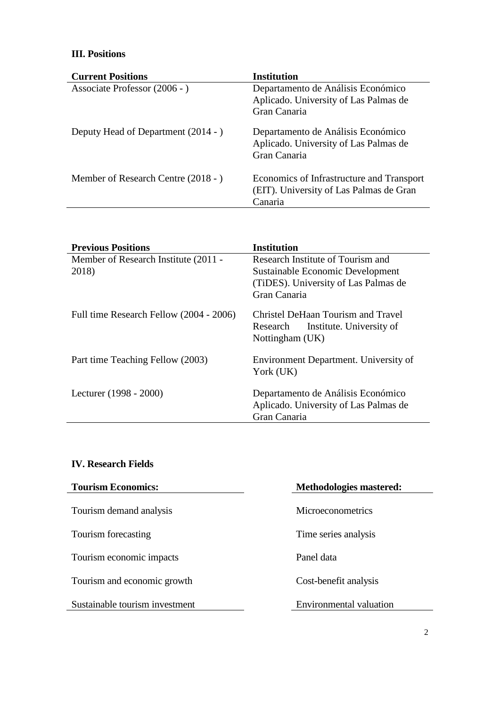# **III. Positions**

| <b>Current Positions</b>            | <b>Institution</b>                                                                              |
|-------------------------------------|-------------------------------------------------------------------------------------------------|
| Associate Professor (2006 - )       | Departamento de Análisis Económico<br>Aplicado. University of Las Palmas de                     |
|                                     | Gran Canaria                                                                                    |
| Deputy Head of Department (2014 - ) | Departamento de Análisis Económico<br>Aplicado. University of Las Palmas de<br>Gran Canaria     |
| Member of Research Centre (2018 - ) | Economics of Infrastructure and Transport<br>(EIT). University of Las Palmas de Gran<br>Canaria |

| <b>Previous Positions</b>                     | <b>Institution</b>                                                                            |
|-----------------------------------------------|-----------------------------------------------------------------------------------------------|
| Member of Research Institute (2011 -<br>2018) | Research Institute of Tourism and<br>Sustainable Economic Development                         |
|                                               | (TiDES). University of Las Palmas de<br>Gran Canaria                                          |
|                                               |                                                                                               |
| Full time Research Fellow (2004 - 2006)       | Christel DeHaan Tourism and Travel<br>Institute. University of<br>Research<br>Nottingham (UK) |
| Part time Teaching Fellow (2003)              | Environment Department. University of<br>York (UK)                                            |
| Lecturer (1998 - 2000)                        | Departamento de Análisis Económico<br>Aplicado. University of Las Palmas de<br>Gran Canaria   |

### **IV. Research Fields**

| <b>Tourism Economics:</b>      | Methodologies mastered:        |
|--------------------------------|--------------------------------|
| Tourism demand analysis        | <b>Microeconometrics</b>       |
| Tourism forecasting            | Time series analysis           |
| Tourism economic impacts       | Panel data                     |
| Tourism and economic growth    | Cost-benefit analysis          |
| Sustainable tourism investment | <b>Environmental valuation</b> |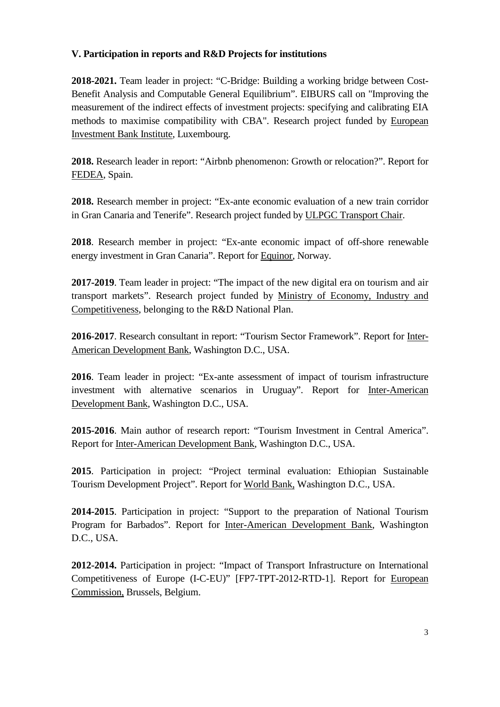## **V. Participation in reports and R&D Projects for institutions**

**2018-2021.** Team leader in project: "C-Bridge: Building a working bridge between Cost-Benefit Analysis and Computable General Equilibrium". EIBURS call on "Improving the measurement of the indirect effects of investment projects: specifying and calibrating EIA methods to maximise compatibility with CBA". Research project funded by European Investment Bank Institute, Luxembourg.

**2018.** Research leader in report: "Airbnb phenomenon: Growth or relocation?". Report for FEDEA, Spain.

**2018.** Research member in project: "Ex-ante economic evaluation of a new train corridor in Gran Canaria and Tenerife". Research project funded by ULPGC Transport Chair.

**2018**. Research member in project: "Ex-ante economic impact of off-shore renewable energy investment in Gran Canaria". Report for Equinor, Norway.

**2017-2019**. Team leader in project: "The impact of the new digital era on tourism and air transport markets". Research project funded by Ministry of Economy, Industry and Competitiveness, belonging to the R&D National Plan.

**2016-2017**. Research consultant in report: "Tourism Sector Framework". Report for Inter-American Development Bank, Washington D.C., USA.

**2016**. Team leader in project: "Ex-ante assessment of impact of tourism infrastructure investment with alternative scenarios in Uruguay". Report for Inter-American Development Bank, Washington D.C., USA.

**2015-2016**. Main author of research report: "Tourism Investment in Central America". Report for Inter-American Development Bank, Washington D.C., USA.

**2015**. Participation in project: "Project terminal evaluation: Ethiopian Sustainable Tourism Development Project". Report for World Bank, Washington D.C., USA.

**2014-2015**. Participation in project: "Support to the preparation of National Tourism Program for Barbados". Report for Inter-American Development Bank, Washington D.C., USA.

**2012-2014.** Participation in project: "Impact of Transport Infrastructure on International Competitiveness of Europe (I-C-EU)" [FP7-TPT-2012-RTD-1]. Report for European Commission, Brussels, Belgium.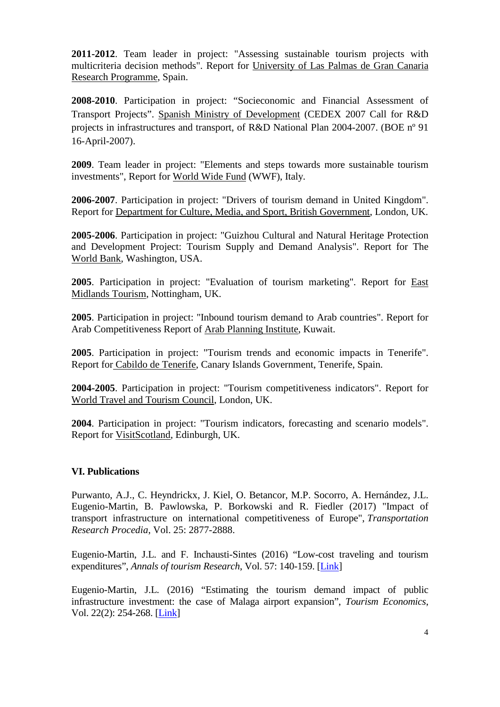**2011-2012**. Team leader in project: "Assessing sustainable tourism projects with multicriteria decision methods". Report for University of Las Palmas de Gran Canaria Research Programme, Spain.

**2008-2010**. Participation in project: "Socieconomic and Financial Assessment of Transport Projects". Spanish Ministry of Development (CEDEX 2007 Call for R&D projects in infrastructures and transport, of R&D National Plan 2004-2007. (BOE nº 91 16-April-2007).

**2009**. Team leader in project: "Elements and steps towards more sustainable tourism investments", Report for World Wide Fund (WWF), Italy.

**2006-2007**. Participation in project: "Drivers of tourism demand in United Kingdom". Report for Department for Culture, Media, and Sport, British Government, London, UK.

**2005-2006**. Participation in project: "Guizhou Cultural and Natural Heritage Protection and Development Project: Tourism Supply and Demand Analysis". Report for The World Bank, Washington, USA.

**2005**. Participation in project: "Evaluation of tourism marketing". Report for East Midlands Tourism, Nottingham, UK.

**2005**. Participation in project: "Inbound tourism demand to Arab countries". Report for Arab Competitiveness Report of Arab Planning Institute, Kuwait.

**2005**. Participation in project: "Tourism trends and economic impacts in Tenerife". Report for Cabildo de Tenerife, Canary Islands Government, Tenerife, Spain.

**2004-2005**. Participation in project: "Tourism competitiveness indicators". Report for World Travel and Tourism Council, London, UK.

**2004**. Participation in project: "Tourism indicators, forecasting and scenario models". Report for VisitScotland, Edinburgh, UK.

#### **VI. Publications**

Purwanto, A.J., C. Heyndrickx, J. Kiel, O. Betancor, M.P. Socorro, A. Hernández, J.L. Eugenio-Martin, B. Pawlowska, P. Borkowski and R. Fiedler (2017) "Impact of transport infrastructure on international competitiveness of Europe", *Transportation Research Procedia*, Vol. 25: 2877-2888.

Eugenio-Martin, J.L. and F. Inchausti-Sintes (2016) "Low-cost traveling and tourism expenditures", *Annals of tourism Research*, Vol. 57: 140-159. [\[Link\]](http://www.sciencedirect.com/science/article/pii/S0160738315300062)

Eugenio-Martin, J.L. (2016) "Estimating the tourism demand impact of public infrastructure investment: the case of Malaga airport expansion", *Tourism Economics*, Vol. 22(2): 254-268. [\[Link\]](http://www.ingentaconnect.com/contentone/ip/tec/2016/00000022/00000002/art00004)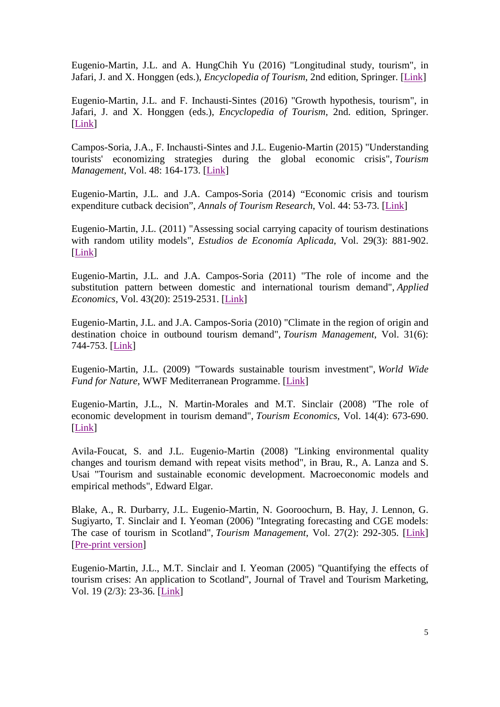Eugenio-Martin, J.L. and A. HungChih Yu (2016) "Longitudinal study, tourism", in Jafari, J. and X. Honggen (eds.), *Encyclopedia of Tourism*, 2nd edition, Springer. [\[Link\]](http://www.springer.com/business+%26+management/marketing/book/978-3-319-01383-1)

Eugenio-Martin, J.L. and F. Inchausti-Sintes (2016) "Growth hypothesis, tourism", in Jafari, J. and X. Honggen (eds.), *Encyclopedia of Tourism*, 2nd. edition, Springer. [\[Link\]](http://www.springer.com/business+%26+management/marketing/book/978-3-319-01383-1)

Campos-Soria, J.A., F. Inchausti-Sintes and J.L. Eugenio-Martin (2015) "Understanding tourists' economizing strategies during the global economic crisis", *Tourism Management*, Vol. 48: 164-173. [\[Link\]](http://www.sciencedirect.com/science/article/pii/S0261517714002192)

Eugenio-Martin, J.L. and J.A. Campos-Soria (2014) "Economic crisis and tourism expenditure cutback decision", *Annals of Tourism Research*, Vol. 44: 53-73. [\[Link\]](http://www.sciencedirect.com/science/article/pii/S0160738313001217)

Eugenio-Martin, J.L. (2011) "Assessing social carrying capacity of tourism destinations with random utility models", *Estudios de Economía Aplicada*, Vol. 29(3): 881-902. [\[Link\]](http://personales.ulpgc.es/jeugenio.daea/Eugenio-Martin%20(2011).pdf)

Eugenio-Martin, J.L. and J.A. Campos-Soria (2011) "The role of income and the substitution pattern between domestic and international tourism demand", *Applied Economics*, Vol. 43(20): 2519-2531. [\[Link\]](http://www.tandfonline.com/doi/abs/10.1080/00036840903299698)

Eugenio-Martin, J.L. and J.A. Campos-Soria (2010) "Climate in the region of origin and destination choice in outbound tourism demand", *Tourism Management*, Vol. 31(6): 744-753. [\[Link\]](http://www.sciencedirect.com/science/article/pii/S0261517709001411)

Eugenio-Martin, J.L. (2009) "Towards sustainable tourism investment", *World Wide Fund for Nature*, WWF Mediterranean Programme. [\[Link\]](http://www.personales.ulpgc.es/jeugenio.daea/Towards%20sustainable%20tourism%20investment.pdf)

Eugenio-Martin, J.L., N. Martin-Morales and M.T. Sinclair (2008) "The role of economic development in tourism demand", *Tourism Economics*, Vol. 14(4): 673-690. [\[Link\]](http://www.ingentaconnect.com/content/ip/tec/2008/00000014/00000004/art00002)

Avila-Foucat, S. and J.L. Eugenio-Martin (2008) "Linking environmental quality changes and tourism demand with repeat visits method", in Brau, R., A. Lanza and S. Usai "Tourism and sustainable economic development. Macroeconomic models and empirical methods", Edward Elgar.

Blake, A., R. Durbarry, J.L. Eugenio-Martin, N. Gooroochurn, B. Hay, J. Lennon, G. Sugiyarto, T. Sinclair and I. Yeoman (2006) "Integrating forecasting and CGE models: The case of tourism in Scotland", *Tourism Management*, Vol. 27(2): 292-305. [\[Link\]](http://www.sciencedirect.com/science/article/pii/S0261517705000026) [\[Pre-print](http://www.personales.ulpgc.es/jeugenio.daea/Blake%20et%20al%20(2006)%20pre-print.doc) version]

Eugenio-Martin, J.L., M.T. Sinclair and I. Yeoman (2005) "Quantifying the effects of tourism crises: An application to Scotland", Journal of Travel and Tourism Marketing, Vol. 19 (2/3): 23-36. [\[Link\]](http://www.tandfonline.com/doi/abs/10.1300/J073v19n02_03#abstract#)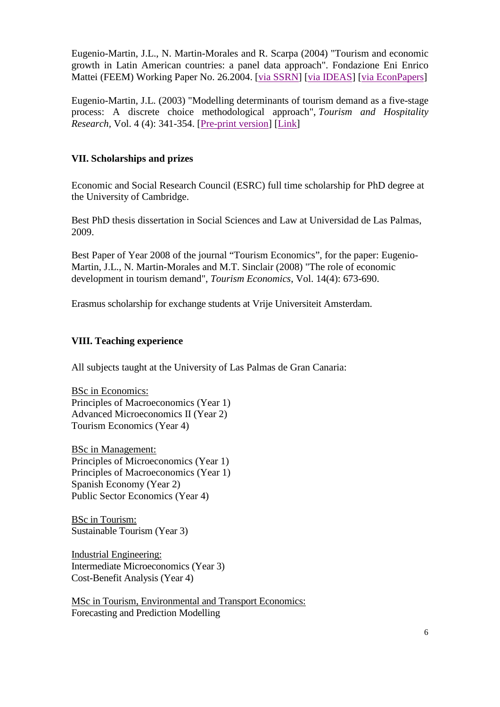Eugenio-Martin, J.L., N. Martin-Morales and R. Scarpa (2004) "Tourism and economic growth in Latin American countries: a panel data approach". Fondazione Eni Enrico Mattei (FEEM) Working Paper No. 26.2004. [via [SSRN\]](http://papers.ssrn.com/sol3/papers.cfm?abstract_id=504482) [via [IDEAS\]](https://ideas.repec.org/p/fem/femwpa/2004.26.html) [via [EconPapers\]](http://econpapers.repec.org/paper/femfemwpa/2004.26.htm)

Eugenio-Martin, J.L. (2003) "Modelling determinants of tourism demand as a five-stage process: A discrete choice methodological approach", *Tourism and Hospitality Research,* Vol. 4 (4): 341-354. [\[Pre-print](http://www.personales.ulpgc.es/jeugenio.daea/Eugenio-Martin%20(2003)%20pre-print.pdf) version] [\[Link\]](http://www.jstor.org/discover/10.2307/23745923?sid=21105657294871&uid=2&uid=4&uid=3737952)

## **VII. Scholarships and prizes**

Economic and Social Research Council (ESRC) full time scholarship for PhD degree at the University of Cambridge.

Best PhD thesis dissertation in Social Sciences and Law at Universidad de Las Palmas, 2009.

Best Paper of Year 2008 of the journal "Tourism Economics", for the paper: Eugenio-Martin, J.L., N. Martin-Morales and M.T. Sinclair (2008) "The role of economic development in tourism demand", *Tourism Economics*, Vol. 14(4): 673-690.

Erasmus scholarship for exchange students at Vrije Universiteit Amsterdam.

## **VIII. Teaching experience**

All subjects taught at the University of Las Palmas de Gran Canaria:

BSc in Economics: Principles of Macroeconomics (Year 1) Advanced Microeconomics II (Year 2) Tourism Economics (Year 4)

BSc in Management: Principles of Microeconomics (Year 1) Principles of Macroeconomics (Year 1) Spanish Economy (Year 2) Public Sector Economics (Year 4)

BSc in Tourism: Sustainable Tourism (Year 3)

Industrial Engineering: Intermediate Microeconomics (Year 3) Cost-Benefit Analysis (Year 4)

MSc in Tourism, Environmental and Transport Economics: Forecasting and Prediction Modelling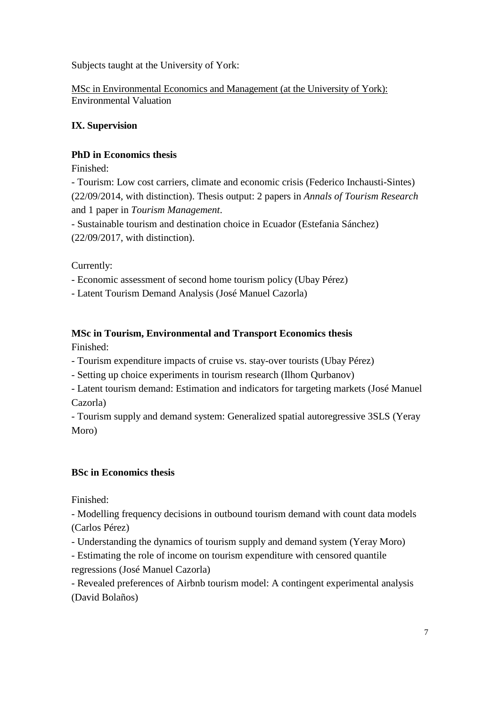Subjects taught at the University of York:

MSc in Environmental Economics and Management (at the University of York): Environmental Valuation

## **IX. Supervision**

## **PhD in Economics thesis**

Finished:

- Tourism: Low cost carriers, climate and economic crisis (Federico Inchausti-Sintes) (22/09/2014, with distinction). Thesis output: 2 papers in *Annals of Tourism Research* and 1 paper in *Tourism Management*.

- Sustainable tourism and destination choice in Ecuador (Estefania Sánchez) (22/09/2017, with distinction).

Currently:

- Economic assessment of second home tourism policy (Ubay Pérez)

- Latent Tourism Demand Analysis (José Manuel Cazorla)

## **MSc in Tourism, Environmental and Transport Economics thesis**

Finished:

- Tourism expenditure impacts of cruise vs. stay-over tourists (Ubay Pérez)

- Setting up choice experiments in tourism research (Ilhom Qurbanov)

- Latent tourism demand: Estimation and indicators for targeting markets (José Manuel Cazorla)

- Tourism supply and demand system: Generalized spatial autoregressive 3SLS (Yeray Moro)

## **BSc in Economics thesis**

Finished:

- Modelling frequency decisions in outbound tourism demand with count data models (Carlos Pérez)

- Understanding the dynamics of tourism supply and demand system (Yeray Moro)

- Estimating the role of income on tourism expenditure with censored quantile regressions (José Manuel Cazorla)

- Revealed preferences of Airbnb tourism model: A contingent experimental analysis (David Bolaños)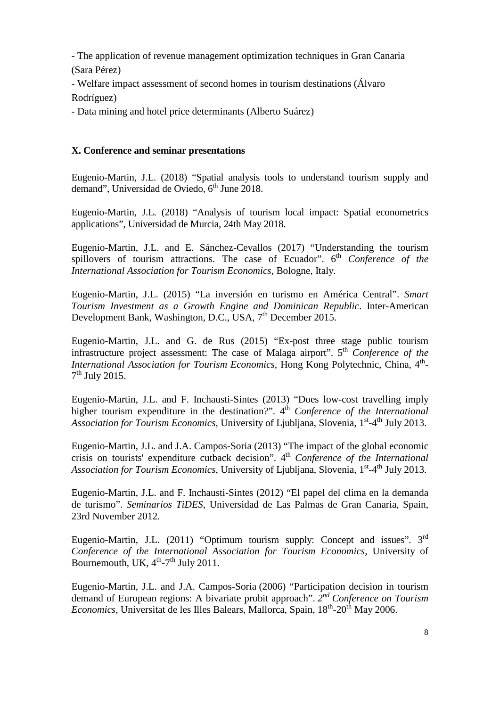- The application of revenue management optimization techniques in Gran Canaria (Sara Pérez)

- Welfare impact assessment of second homes in tourism destinations (Álvaro Rodríguez)

- Data mining and hotel price determinants (Alberto Suárez)

### **X. Conference and seminar presentations**

Eugenio-Martin, J.L. (2018) "Spatial analysis tools to understand tourism supply and demand". Universidad de Oviedo,  $6<sup>th</sup>$  June 2018.

Eugenio-Martin, J.L. (2018) "Analysis of tourism local impact: Spatial econometrics applications", Universidad de Murcia, 24th May 2018.

Eugenio-Martin, J.L. and E. Sánchez-Cevallos (2017) "Understanding the tourism spillovers of tourism attractions. The case of Ecuador". 6<sup>th</sup> Conference of the *International Association for Tourism Economics*, Bologne, Italy.

Eugenio-Martin, J.L. (2015) "La inversión en turismo en América Central". *Smart Tourism Investment as a Growth Engine and Dominican Republic*. Inter-American Development Bank, Washington, D.C., USA, 7<sup>th</sup> December 2015.

Eugenio-Martin, J.L. and G. de Rus (2015) "Ex-post three stage public tourism infrastructure project assessment: The case of Malaga airport". 5<sup>th</sup> Conference of the *International Association for Tourism Economics*, Hong Kong Polytechnic, China, 4<sup>th</sup>- $7<sup>th</sup>$  July 2015.

Eugenio-Martin, J.L. and F. Inchausti-Sintes (2013) "Does low-cost travelling imply higher tourism expenditure in the destination?". 4<sup>th</sup> *Conference of the International Association for Tourism Economics*, University of Ljubljana, Slovenia, 1<sup>st</sup>-4<sup>th</sup> July 2013.

Eugenio-Martin, J.L. and J.A. Campos-Soria (2013) "The impact of the global economic crisis on tourists' expenditure cutback decision". 4th *Conference of the International Association for Tourism Economics*, University of Ljubljana, Slovenia, 1<sup>st</sup>-4<sup>th</sup> July 2013.

Eugenio-Martin, J.L. and F. Inchausti-Sintes (2012) "El papel del clima en la demanda de turismo". *Seminarios TiDES*, Universidad de Las Palmas de Gran Canaria, Spain, 23rd November 2012.

Eugenio-Martin, J.L. (2011) "Optimum tourism supply: Concept and issues". 3<sup>rd</sup> *Conference of the International Association for Tourism Economics*, University of Bournemouth, UK,  $4<sup>th</sup>$ -7<sup>th</sup> July 2011.

Eugenio-Martin, J.L. and J.A. Campos-Soria (2006) "Participation decision in tourism demand of European regions: A bivariate probit approach". *2nd Conference on Tourism Economics*, Universitat de les Illes Balears, Mallorca, Spain, 18<sup>th</sup>-20<sup>th</sup> May 2006.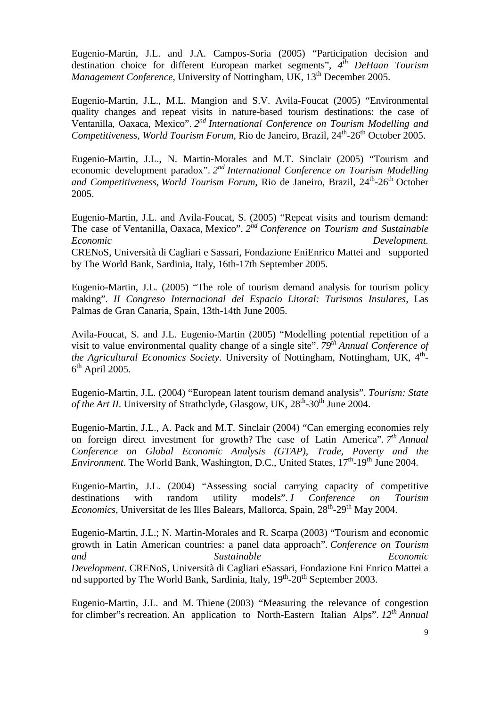Eugenio-Martin, J.L. and J.A. Campos-Soria (2005) "Participation decision and destination choice for different European market segments", *4th DeHaan Tourism Management Conference*, University of Nottingham, UK, 13<sup>th</sup> December 2005.

Eugenio-Martin, J.L., M.L. Mangion and S.V. Avila-Foucat (2005) "Environmental quality changes and repeat visits in nature-based tourism destinations: the case of Ventanilla, Oaxaca, Mexico". *2nd International Conference on Tourism Modelling and Competitiveness, World Tourism Forum, Rio de Janeiro, Brazil, 24<sup>th</sup>-26<sup>th</sup> October 2005.* 

Eugenio-Martin, J.L., N. Martin-Morales and M.T. Sinclair (2005) "Tourism and economic development paradox". *2nd International Conference on Tourism Modelling*  and Competitiveness, World Tourism Forum, Rio de Janeiro, Brazil, 24<sup>th</sup>-26<sup>th</sup> October 2005.

Eugenio-Martin, J.L. and Avila-Foucat, S. (2005) "Repeat visits and tourism demand: The case of Ventanilla, Oaxaca, Mexico". *2nd Conference on Tourism and Sustainable Economic Development.* CRENoS, Università di Cagliari e Sassari, Fondazione EniEnrico Mattei and supported by The World Bank, Sardinia, Italy, 16th-17th September 2005.

Eugenio-Martin, J.L. (2005) "The role of tourism demand analysis for tourism policy making". *II Congreso Internacional del Espacio Litoral: Turismos Insulares*, Las Palmas de Gran Canaria, Spain, 13th-14th June 2005.

[Avila-Foucat, S. and J.L. Eugenio-Martin \(2005\) "Modelling potential repetition of a](http://aes.ac.uk/conf_05/conf_05.htm)  [visit to value environmental quality change of a single site".](http://aes.ac.uk/conf_05/conf_05.htm) *79th Annual Conference of the Agricultural Economics Society.* University of Nottingham, Nottingham, UK, 4<sup>th</sup>- $6<sup>th</sup>$  [April 2005.](http://aes.ac.uk/conf_05/conf_05.htm)

[Eugenio-Martin, J.L. \(2004\) "European latent tourism demand analysis".](http://www.strath.ac.uk/shs/tourism2004/index.html) *Tourism: State of the Art II*. University of Strathclyde, Glasgow, UK,  $28<sup>th</sup>$ -30<sup>th</sup> June 2004.

[Eugenio-Martin, J.L., A. Pack and M.T. Sinclair \(2004\) "Can emerging economies rely](http://www.gtap.agecon.purdue.edu/events/Conferences/2004/default.asp)  [on foreign direct investment for growth?](http://www.gtap.agecon.purdue.edu/events/Conferences/2004/default.asp) The case of Latin America". *7th Annual [Conference on Global Economic Analysis \(GTAP\), Trade, Poverty and the](http://www.gtap.agecon.purdue.edu/events/Conferences/2004/default.asp)  Environment*. The World Bank, Washington, D.C., United States,  $17<sup>th</sup>$ -19<sup>th</sup> June 2004.

[Eugenio-Martin, J.L. \(2004\) "Assessing social carrying capacity of competitive](http://www.uib.es/congres/jet/english/index.htm)  [destinations with random utility models".](http://www.uib.es/congres/jet/english/index.htm) *I Conference on Tourism Economics*, Universitat de les Illes Balears, Mallorca, Spain, 28<sup>th</sup>-29<sup>th</sup> May 2004.

[Eugenio-Martin, J.L.; N. Martin-Morales and R.](http://www.pigliaru.it/chia/) Scarpa (2003) "Tourism and economic [growth in Latin American countries: a panel data approach".](http://www.pigliaru.it/chia/) *Conference on Tourism [and Sustainable Economic](http://www.pigliaru.it/chia/)  [Development.](http://www.pigliaru.it/chia/)* CRENoS, Università di Cagliari eSassari, Fondazione Eni Enrico Mattei a nd supported by The World Bank, Sardinia, Italy, 19<sup>th</sup>-20<sup>th</sup> September 2003.

Eugenio-Martin, J.L. and M. Thiene [\(2003\) "Measuring the relevance of congestion](http://www.gruponahise.com/eaere2003/session07.htm)  for climber"s recreation. [An application to North-Eastern Italian Alps".](http://www.gruponahise.com/eaere2003/session07.htm) *12th [Annual](http://www.gruponahise.com/eaere2003/program.htm)*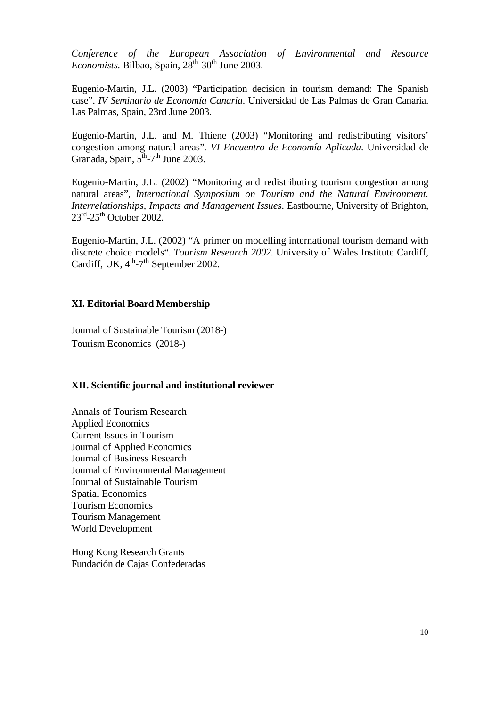*[Conference of the European Association of Environmental and Resource](http://www.gruponahise.com/eaere2003/program.htm)*   $Economists$ . Bilbao, Spain,  $28<sup>th</sup>$ -30<sup>th</sup> June 2003.

Eugenio-Martin, J.L. (2003) "Participation decision in tourism demand: The Spanish case". *IV Seminario de Economía Canaria*. Universidad de Las Palmas de Gran Canaria. Las Palmas, Spain, 23rd June 2003.

Eugenio-Martin, J.L. and M. Thiene (2003) "Monitoring and redistributing visitors' congestion among natural areas". *VI Encuentro de Economía Aplicada*. Universidad de Granada, Spain,  $5^{\text{th}}$ -7<sup>th</sup> June 2003.

Eugenio-Martin, J.L. (2002) "Monitoring and redistributing tourism congestion among natural areas", *International Symposium on Tourism and the Natural Environment. Interrelationships, Impacts and Management Issues*. Eastbourne, University of Brighton,  $23<sup>rd</sup>-25<sup>th</sup>$  October 2002.

[Eugenio-Martin, J.L. \(2002\) "A primer on modelling international tourism demand with](file://NTCR1/MISC141/TR.ppt)  [discrete choice models"](file://NTCR1/MISC141/TR.ppt). *Tourism Research 2002.* [University of Wales Institute Cardiff,](http://www.uwic.ac.uk/tourismresearch2002)  Cardiff, UK,  $4<sup>th</sup>-7<sup>th</sup>$  September 2002.

#### **XI. Editorial Board Membership**

Journal of Sustainable Tourism (2018-) Tourism Economics(2018-)

#### **XII. Scientific journal and institutional reviewer**

Annals of Tourism Research Applied Economics Current Issues in Tourism Journal of Applied Economics Journal of Business Research Journal of Environmental Management Journal of Sustainable Tourism Spatial Economics Tourism Economics Tourism Management World Development

Hong Kong Research Grants Fundación de Cajas Confederadas